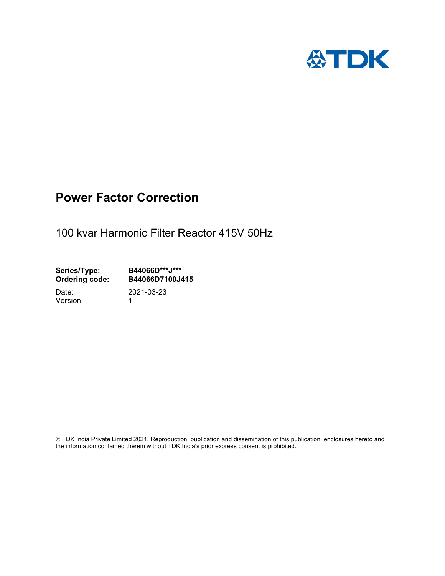

## Power Factor Correction

100 kvar Harmonic Filter Reactor 415V 50Hz

Series/Type: B44066D\*\*\*J\*\*\*<br>Ordering code: B44066D7100J4 B44066D7100J415 Date: 2021-03-23

Version: 1

 TDK India Private Limited 2021. Reproduction, publication and dissemination of this publication, enclosures hereto and the information contained therein without TDK India's prior express consent is prohibited.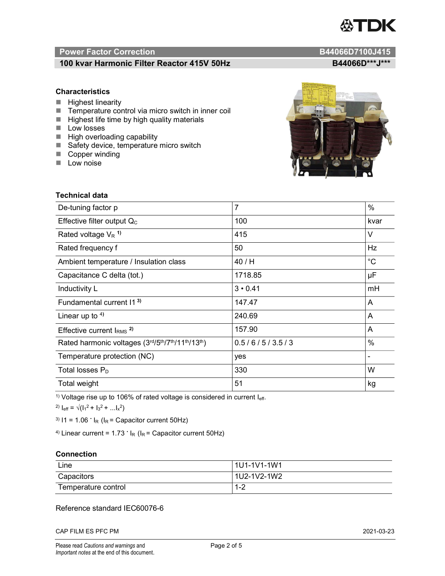# TDK

### Power Factor Correction and Content of Content of Content of Content of Content of Content of Content of Content of Content of Content of Content of Content of Content of Content of Content of Content of Content of Content

### 100 kvar Harmonic Filter Reactor 415V 50Hz B44066D\*\*\*J\*\*\*

### **Characteristics**

- $\blacksquare$  Highest linearity
- Temperature control via micro switch in inner coil
- $\blacksquare$  Highest life time by high quality materials
- **Low losses**
- $\blacksquare$  High overloading capability
- Safety device, temperature micro switch
- Copper winding
- **Low noise**

| Technical data                                  |                |               |
|-------------------------------------------------|----------------|---------------|
| De-tuning factor p                              | $\overline{7}$ | $\%$          |
| Effective filter output $Q_C$                   | 100            | kvar          |
| Rated voltage $V_R$ <sup>1)</sup>               | 415            | V             |
| Rated frequency f                               | 50             | Hz            |
| Ambient temperature / Insulation class          | 40/H           | $^{\circ}C$   |
| Capacitance C delta (tot.)                      | 1718.85        | μF            |
| Inductivity L                                   | $3 \cdot 0.41$ | mH            |
| Fundamental current 11 <sup>3)</sup>            | 147.47         | A             |
| Linear up to $4$ )                              | 240.69         | A             |
| Effective current $IRMS$ <sup>2)</sup>          | 157.90         | A             |
| Rated harmonic voltages (3rd/5th/7th/11th/13th) | 0.5/6/5/3.5/3  | $\frac{0}{0}$ |
| Temperature protection (NC)                     | yes            |               |
| Total losses $P_D$                              | 330            | W             |
| Total weight                                    | 51             | kg            |

<sup>1)</sup> Voltage rise up to 106% of rated voltage is considered in current  $I_{\text{eff}}$ .

<sup>2)</sup>  $I_{eff} = \sqrt{(I_1^2 + I_3^2 + ... I_x^2)}$ 

<sup>3)</sup>  $11 = 1.06$   $\cdot$   $I_R$  ( $I_R$  = Capacitor current 50Hz)

<sup>4)</sup> Linear current =  $1.73$   $\cdot$  I<sub>R</sub> (I<sub>R</sub> = Capacitor current 50Hz)

### **Connection**

| Line                | 1U1-1V1-1W1                                   |
|---------------------|-----------------------------------------------|
| Capacitors          | l 1U2-1V2-1W2                                 |
| Temperature control | $\sqrt{2}$<br>$\overline{\phantom{a}}$<br>1-4 |

### Reference standard IEC60076-6

CAP FILM ES PFC PM 2021-03-23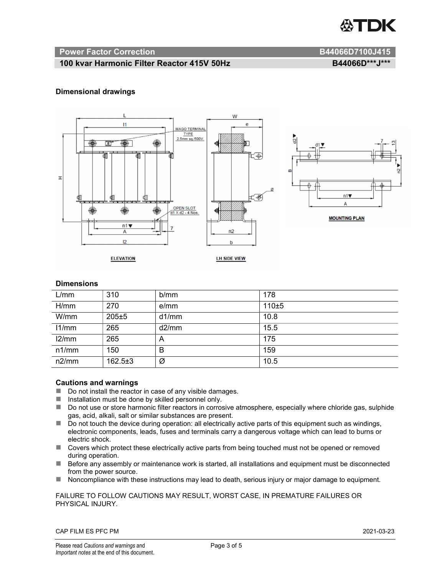

### Power Factor Correction and B44066D7100J415

### 100 kvar Harmonic Filter Reactor 415V 50Hz B44066D\*\*\*J\*\*\*

### Dimensional drawings



### **Dimensions**

| L/mm  | 310           | b/mm  | 178   |
|-------|---------------|-------|-------|
| H/mm  | 270           | e/mm  | 110±5 |
| W/mm  | $205 \pm 5$   | d1/mm | 10.8  |
| 11/mm | 265           | d2/mm | 15.5  |
| 12/mm | 265           | A     | 175   |
| n1/mm | 150           | B     | 159   |
| n2/mm | $162.5 \pm 3$ | Ø     | 10.5  |

### Cautions and warnings

- Do not install the reactor in case of any visible damages.
- $\blacksquare$  Installation must be done by skilled personnel only.
- Do not use or store harmonic filter reactors in corrosive atmosphere, especially where chloride gas, sulphide gas, acid, alkali, salt or similar substances are present.
- Do not touch the device during operation: all electrically active parts of this equipment such as windings, electronic components, leads, fuses and terminals carry a dangerous voltage which can lead to burns or electric shock.
- Covers which protect these electrically active parts from being touched must not be opened or removed during operation.
- Before any assembly or maintenance work is started, all installations and equipment must be disconnected from the power source.
- Noncompliance with these instructions may lead to death, serious injury or major damage to equipment.

FAILURE TO FOLLOW CAUTIONS MAY RESULT, WORST CASE, IN PREMATURE FAILURES OR PHYSICAL INJURY.

CAP FILM ES PFC PM 2021-03-23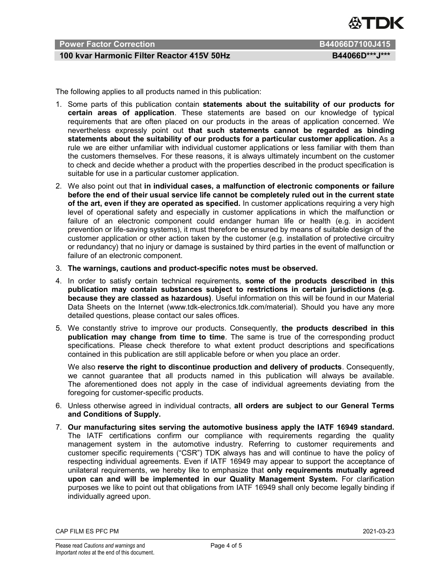

### Power Factor Correction B44066D7100J415

### 100 kvar Harmonic Filter Reactor 415V 50Hz B44066D\*\*\*J\*\*\*

The following applies to all products named in this publication:

- 1. Some parts of this publication contain statements about the suitability of our products for certain areas of application. These statements are based on our knowledge of typical requirements that are often placed on our products in the areas of application concerned. We nevertheless expressly point out that such statements cannot be regarded as binding statements about the suitability of our products for a particular customer application. As a rule we are either unfamiliar with individual customer applications or less familiar with them than the customers themselves. For these reasons, it is always ultimately incumbent on the customer to check and decide whether a product with the properties described in the product specification is suitable for use in a particular customer application.
- 2. We also point out that in individual cases, a malfunction of electronic components or failure before the end of their usual service life cannot be completely ruled out in the current state of the art, even if they are operated as specified. In customer applications requiring a very high level of operational safety and especially in customer applications in which the malfunction or failure of an electronic component could endanger human life or health (e.g. in accident prevention or life-saving systems), it must therefore be ensured by means of suitable design of the customer application or other action taken by the customer (e.g. installation of protective circuitry or redundancy) that no injury or damage is sustained by third parties in the event of malfunction or failure of an electronic component.
- 3. The warnings, cautions and product-specific notes must be observed.
- 4. In order to satisfy certain technical requirements, some of the products described in this publication may contain substances subject to restrictions in certain jurisdictions (e.g. because they are classed as hazardous). Useful information on this will be found in our Material Data Sheets on the Internet (www.tdk-electronics.tdk.com/material). Should you have any more detailed questions, please contact our sales offices.
- 5. We constantly strive to improve our products. Consequently, the products described in this publication may change from time to time. The same is true of the corresponding product specifications. Please check therefore to what extent product descriptions and specifications contained in this publication are still applicable before or when you place an order.

We also reserve the right to discontinue production and delivery of products. Consequently, we cannot guarantee that all products named in this publication will always be available. The aforementioned does not apply in the case of individual agreements deviating from the foregoing for customer-specific products.

- 6. Unless otherwise agreed in individual contracts, all orders are subject to our General Terms and Conditions of Supply.
- 7. Our manufacturing sites serving the automotive business apply the IATF 16949 standard. The IATF certifications confirm our compliance with requirements regarding the quality management system in the automotive industry. Referring to customer requirements and customer specific requirements ("CSR") TDK always has and will continue to have the policy of respecting individual agreements. Even if IATF 16949 may appear to support the acceptance of unilateral requirements, we hereby like to emphasize that only requirements mutually agreed upon can and will be implemented in our Quality Management System. For clarification purposes we like to point out that obligations from IATF 16949 shall only become legally binding if individually agreed upon.